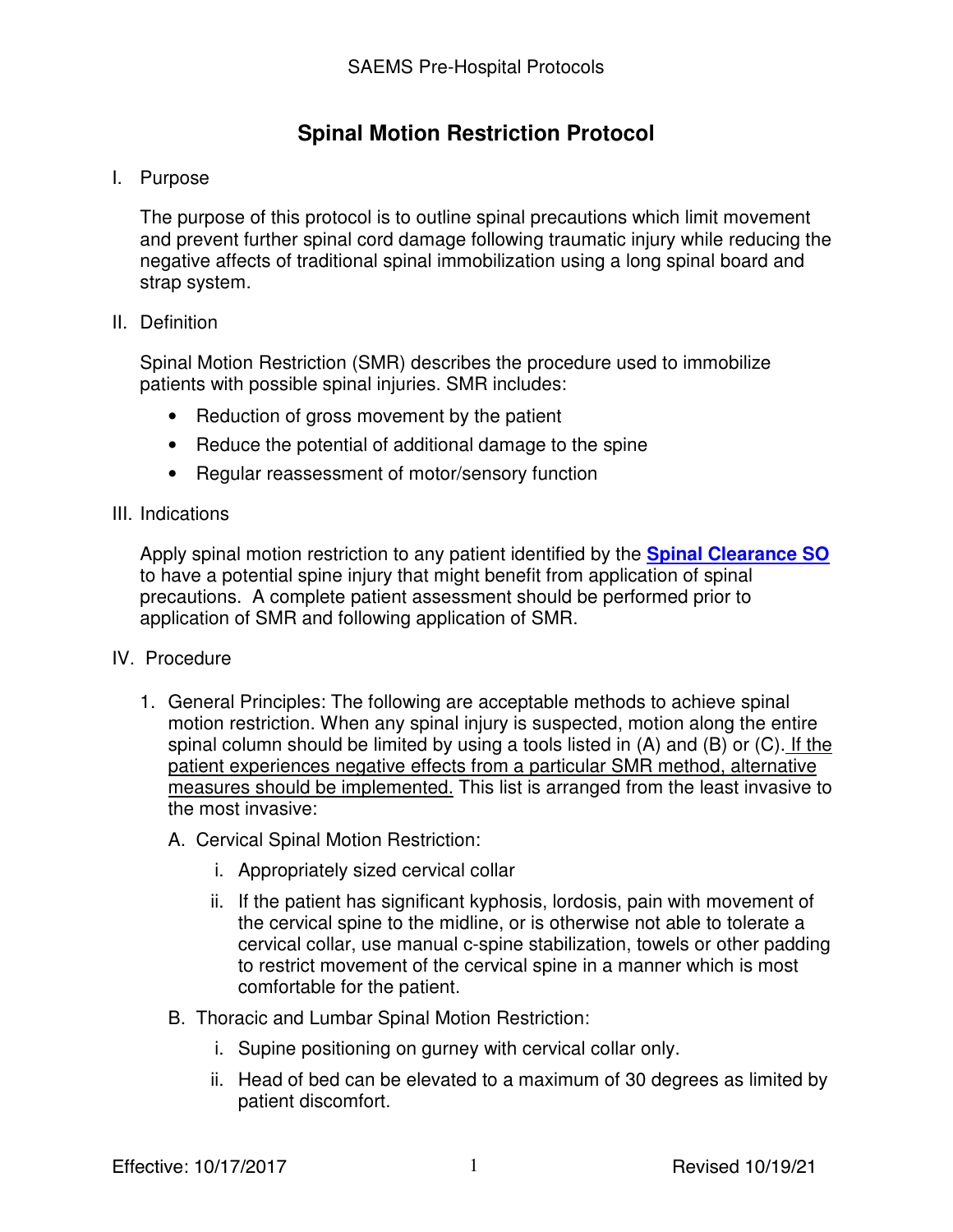# **Spinal Motion Restriction Protocol**

## I. Purpose

The purpose of this protocol is to outline spinal precautions which limit movement and prevent further spinal cord damage following traumatic injury while reducing the negative affects of traditional spinal immobilization using a long spinal board and strap system.

## II. Definition

Spinal Motion Restriction (SMR) describes the procedure used to immobilize patients with possible spinal injuries. SMR includes:

- Reduction of gross movement by the patient
- Reduce the potential of additional damage to the spine
- Regular reassessment of motor/sensory function

### III. Indications

Apply spinal motion restriction to any patient identified by the **Spinal Clearance SO** to have a potential spine injury that might benefit from application of spinal precautions. A complete patient assessment should be performed prior to application of SMR and following application of SMR.

### IV. Procedure

- 1. General Principles: The following are acceptable methods to achieve spinal motion restriction. When any spinal injury is suspected, motion along the entire spinal column should be limited by using a tools listed in (A) and (B) or (C). If the patient experiences negative effects from a particular SMR method, alternative measures should be implemented. This list is arranged from the least invasive to the most invasive:
	- A. Cervical Spinal Motion Restriction:
		- i. Appropriately sized cervical collar
		- ii. If the patient has significant kyphosis, lordosis, pain with movement of the cervical spine to the midline, or is otherwise not able to tolerate a cervical collar, use manual c-spine stabilization, towels or other padding to restrict movement of the cervical spine in a manner which is most comfortable for the patient.
	- B. Thoracic and Lumbar Spinal Motion Restriction:
		- i. Supine positioning on gurney with cervical collar only.
		- ii. Head of bed can be elevated to a maximum of 30 degrees as limited by patient discomfort.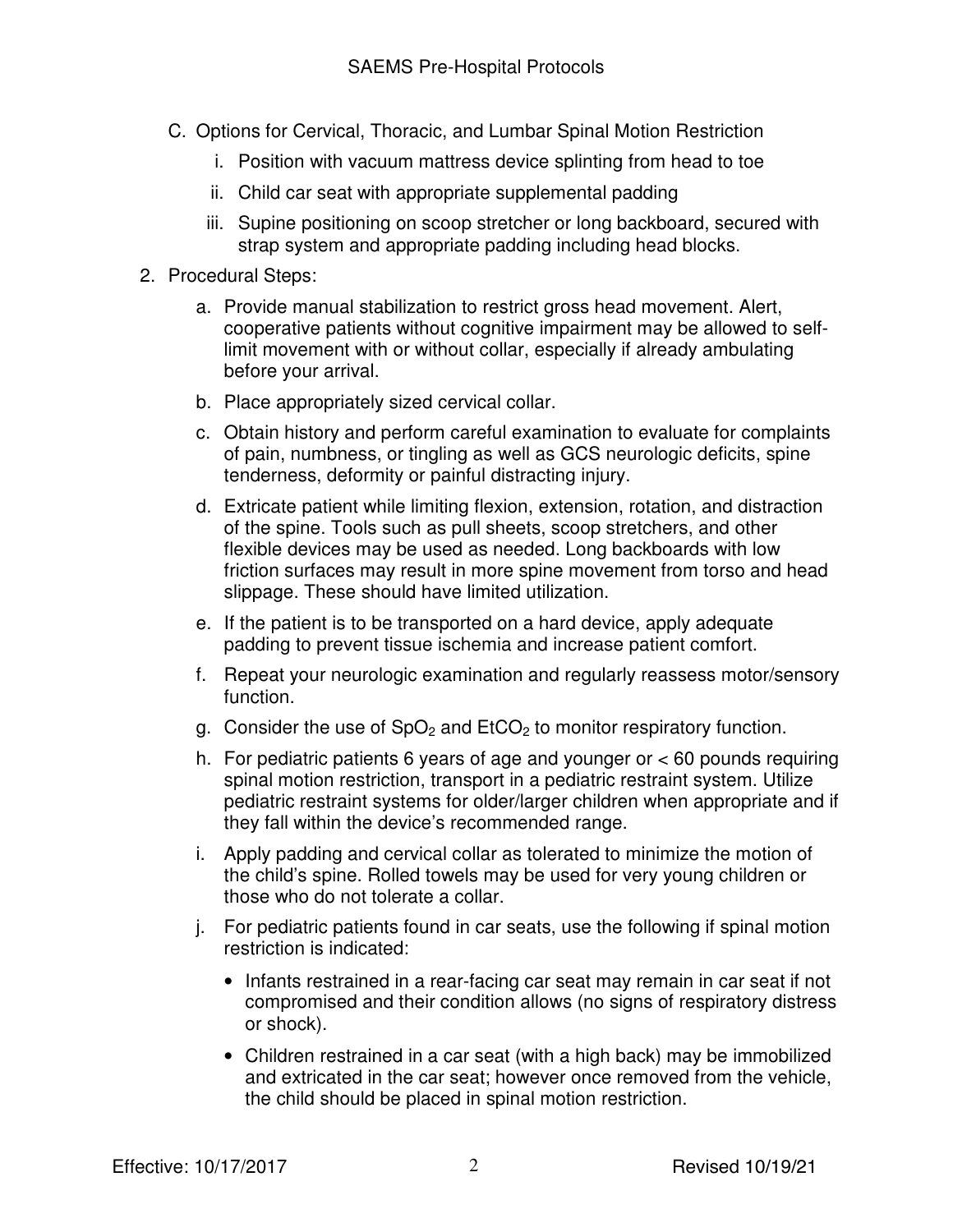- C. Options for Cervical, Thoracic, and Lumbar Spinal Motion Restriction
	- i. Position with vacuum mattress device splinting from head to toe
	- ii. Child car seat with appropriate supplemental padding
	- iii. Supine positioning on scoop stretcher or long backboard, secured with strap system and appropriate padding including head blocks.
- 2. Procedural Steps:
	- a. Provide manual stabilization to restrict gross head movement. Alert, cooperative patients without cognitive impairment may be allowed to selflimit movement with or without collar, especially if already ambulating before your arrival.
	- b. Place appropriately sized cervical collar.
	- c. Obtain history and perform careful examination to evaluate for complaints of pain, numbness, or tingling as well as GCS neurologic deficits, spine tenderness, deformity or painful distracting injury.
	- d. Extricate patient while limiting flexion, extension, rotation, and distraction of the spine. Tools such as pull sheets, scoop stretchers, and other flexible devices may be used as needed. Long backboards with low friction surfaces may result in more spine movement from torso and head slippage. These should have limited utilization.
	- e. If the patient is to be transported on a hard device, apply adequate padding to prevent tissue ischemia and increase patient comfort.
	- f. Repeat your neurologic examination and regularly reassess motor/sensory function.
	- g. Consider the use of  $SpO<sub>2</sub>$  and  $EtCO<sub>2</sub>$  to monitor respiratory function.
	- h. For pediatric patients 6 years of age and younger or < 60 pounds requiring spinal motion restriction, transport in a pediatric restraint system. Utilize pediatric restraint systems for older/larger children when appropriate and if they fall within the device's recommended range.
	- i. Apply padding and cervical collar as tolerated to minimize the motion of the child's spine. Rolled towels may be used for very young children or those who do not tolerate a collar.
	- j. For pediatric patients found in car seats, use the following if spinal motion restriction is indicated:
		- Infants restrained in a rear-facing car seat may remain in car seat if not compromised and their condition allows (no signs of respiratory distress or shock).
		- Children restrained in a car seat (with a high back) may be immobilized and extricated in the car seat; however once removed from the vehicle, the child should be placed in spinal motion restriction.